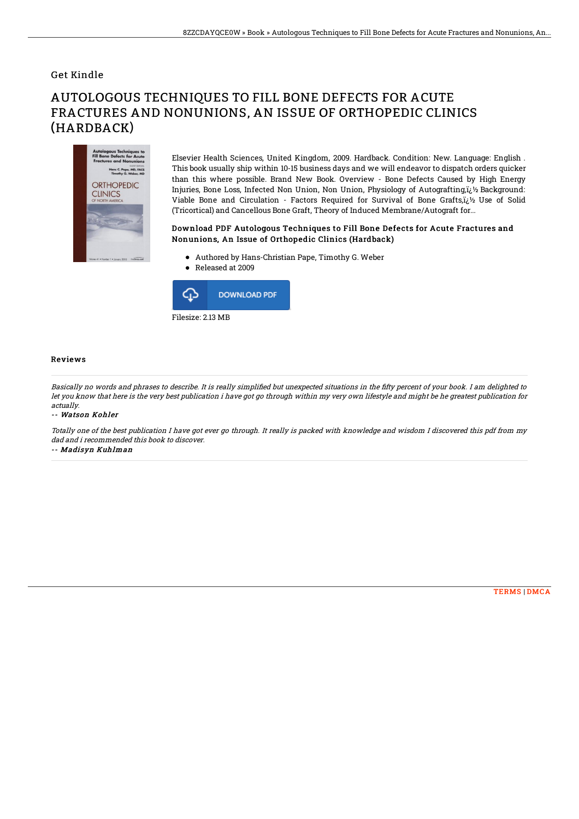## Get Kindle

# AUTOLOGOUS TECHNIQUES TO FILL BONE DEFECTS FOR ACUTE FRACTURES AND NONUNIONS, AN ISSUE OF ORTHOPEDIC CLINICS (HARDBACK)



Elsevier Health Sciences, United Kingdom, 2009. Hardback. Condition: New. Language: English . This book usually ship within 10-15 business days and we will endeavor to dispatch orders quicker than this where possible. Brand New Book. Overview - Bone Defects Caused by High Energy Injuries, Bone Loss, Infected Non Union, Non Union, Physiology of Autografting, $i\zeta$  Background: Viable Bone and Circulation - Factors Required for Survival of Bone Grafts,i<sub>i</sub> V<sub>2</sub> Use of Solid (Tricortical) and Cancellous Bone Graft, Theory of Induced Membrane/Autograft for...

### Download PDF Autologous Techniques to Fill Bone Defects for Acute Fractures and Nonunions, An Issue of Orthopedic Clinics (Hardback)

- Authored by Hans-Christian Pape, Timothy G. Weber
- Released at 2009



#### Reviews

Basically no words and phrases to describe. It is really simplified but unexpected situations in the fifty percent of your book. I am delighted to let you know that here is the very best publication i have got go through within my very own lifestyle and might be he greatest publication for actually.

#### -- Watson Kohler

Totally one of the best publication I have got ever go through. It really is packed with knowledge and wisdom I discovered this pdf from my dad and i recommended this book to discover.

-- Madisyn Kuhlman